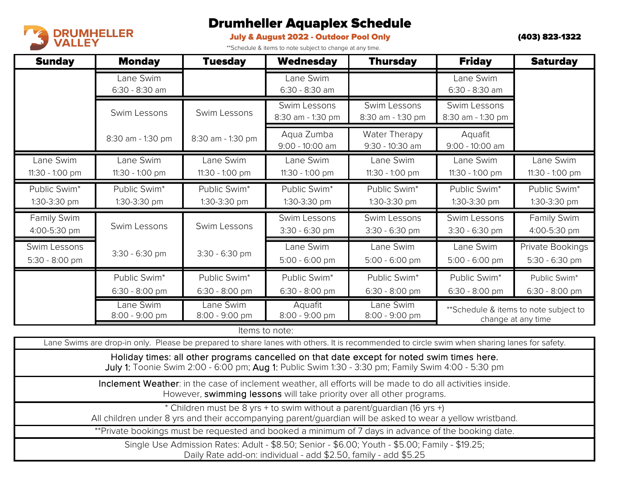

## Drumheller Aquaplex Schedule

## July & August 2022 - Outdoor Pool Only

\*\*Schedule & items to note subject to change at any time.

(403) 823-1322

| <b>Sunday</b>                  | <b>Monday</b>                    | <b>Tuesday</b>                 | <b>Wednesday</b>                  | <b>Thursday</b>                   | <b>Friday</b>                                               | <b>Saturday</b>                    |
|--------------------------------|----------------------------------|--------------------------------|-----------------------------------|-----------------------------------|-------------------------------------------------------------|------------------------------------|
|                                | Lane Swim<br>6:30 - 8:30 am      |                                | Lane Swim<br>$6:30 - 8:30$ am     |                                   | Lane Swim<br>6:30 - 8:30 am                                 |                                    |
|                                | Swim Lessons                     | Swim Lessons                   | Swim Lessons<br>8:30 am - 1:30 pm | Swim Lessons<br>8:30 am - 1:30 pm | Swim Lessons<br>8:30 am - 1:30 pm                           |                                    |
|                                | 8:30 am - 1:30 pm                | 8:30 am - 1:30 pm              | Aqua Zumba<br>9:00 - 10:00 am     | Water Therapy<br>9:30 - 10:30 am  | Aquafit<br>9:00 - 10:00 am                                  |                                    |
| Lane Swim<br>11:30 - 1:00 pm   | Lane Swim<br>11:30 - 1:00 pm     | Lane Swim<br>11:30 - 1:00 pm   | Lane Swim<br>11:30 - 1:00 pm      | Lane Swim<br>$11:30 - 1:00$ pm    | Lane Swim<br>11:30 - 1:00 pm                                | Lane Swim<br>11:30 - 1:00 pm       |
| Public Swim*<br>1:30-3:30 pm   | Public Swim*<br>1:30-3:30 pm     | Public Swim*<br>1:30-3:30 pm   | Public Swim*<br>1:30-3:30 pm      | Public Swim*<br>1:30-3:30 pm      | Public Swim*<br>1:30-3:30 pm                                | Public Swim*<br>1:30-3:30 pm       |
| Family Swim<br>4:00-5:30 pm    | Swim Lessons                     | Swim Lessons                   | Swim Lessons<br>3:30 - 6:30 pm    | Swim Lessons<br>3:30 - 6:30 pm    | Swim Lessons<br>3:30 - 6:30 pm                              | Family Swim<br>4:00-5:30 pm        |
| Swim Lessons<br>5:30 - 8:00 pm | 3:30 - 6:30 pm                   | $3:30 - 6:30$ pm               | Lane Swim<br>5:00 - 6:00 pm       | Lane Swim<br>5:00 - 6:00 pm       | Lane Swim<br>$5:00 - 6:00$ pm                               | Private Bookings<br>5:30 - 6:30 pm |
|                                | Public Swim*<br>$6:30 - 8:00$ pm | Public Swim*<br>6:30 - 8:00 pm | Public Swim*<br>6:30 - 8:00 pm    | Public Swim*<br>6:30 - 8:00 pm    | Public Swim*<br>6:30 - 8:00 pm                              | Public Swim*<br>6:30 - 8:00 pm     |
|                                | Lane Swim<br>8:00 - 9:00 pm      | Lane Swim<br>8:00 - 9:00 pm    | Aquafit<br>8:00 - 9:00 pm         | Lane Swim<br>8:00 - 9:00 pm       | **Schedule & items to note subject to<br>change at any time |                                    |

Items to note:

Lane Swims are drop-in only. Please be prepared to share lanes with others. It is recommended to circle swim when sharing lanes for safety.

Holiday times: all other programs cancelled on that date except for noted swim times here. July 1: Toonie Swim 2:00 - 6:00 pm; Aug 1: Public Swim 1:30 - 3:30 pm; Family Swim 4:00 - 5:30 pm

Inclement Weather: in the case of inclement weather, all efforts will be made to do all activities inside. However, swimming lessons will take priority over all other programs.

\* Children must be 8 yrs + to swim without a parent/guardian (16 yrs +)

All children under 8 yrs and their accompanying parent/guardian will be asked to wear a yellow wristband.

\*\*Private bookings must be requested and booked a minimum of 7 days in advance of the booking date.

Single Use Admission Rates: Adult - \$8.50; Senior - \$6.00; Youth - \$5.00; Family - \$19.25; Daily Rate add-on: individual - add \$2.50, family - add \$5.25